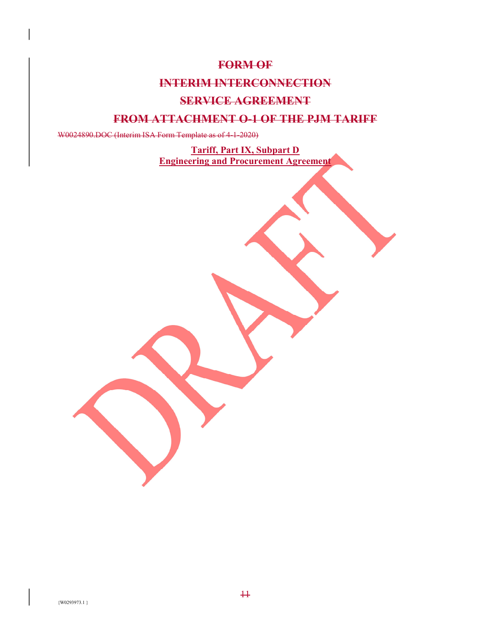## **FORM OF**

## **INTERIM INTERCONNECTION**

## **SERVICE AGREEMENT**

## **FROM ATTACHMENT O-1 OF THE PJM TARIFF**

W0024890.DOC (Interim ISA Form Template as of 4-1-2020)

**Tariff, Part IX, Subpart D Engineering and Procurement Agreement**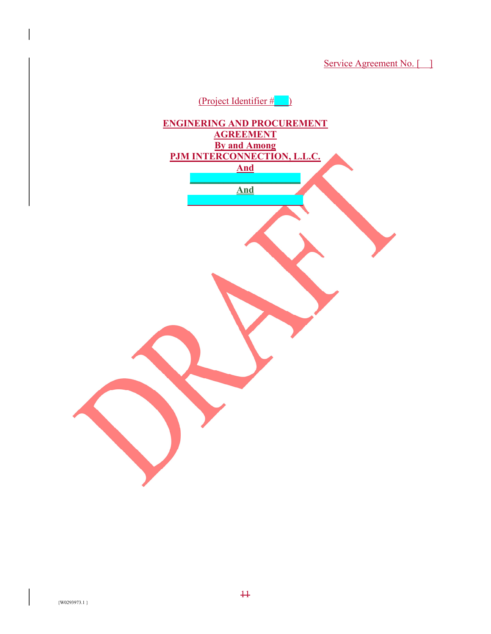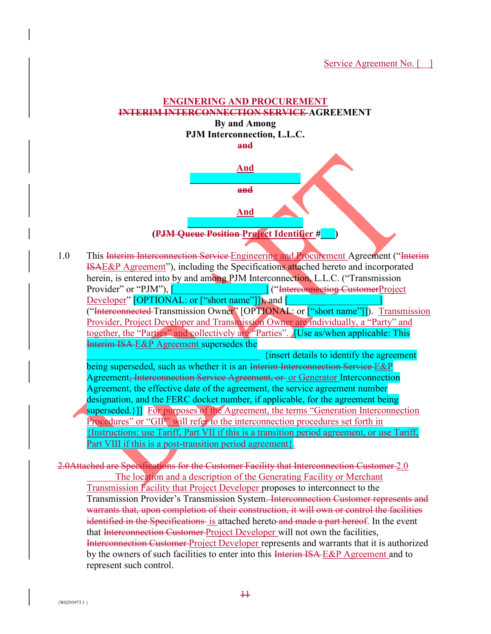# **ENGINERING AND PROCUREMENT INTERIM INTERCONNECTION SERVICE AGREEMENT**

**By and Among PJM Interconnection, L.L.C. and** 



**(PJM Queue Position Project Identifier #\_\_\_)** 

1.0 This Interim Interconnection Service Engineering and Procurement Agreement ("Interim ISAE&P Agreement"), including the Specifications attached hereto and incorporated herein, is entered into by and among PJM Interconnection, L.L.C. ("Transmission Provider" or "PJM"),  $\begin{bmatrix} \cdot & \cdot & \cdot \\ \cdot & \cdot & \cdot \\ \cdot & \cdot & \cdot \end{bmatrix}$  ("Interconnection CustomerProject") Developer" [OPTIONAL: or ["short name"]]), and [ ("Interconnected Transmission Owner" [OPTIONAL: or ["short name"]]). Transmission Provider, Project Developer and Transmission Owner are individually, a "Party" and together, the "Parties" and collectively are "Parties". **[Use as/when applicable: This** Interim ISA E&P Agreement supersedes the \_\_\_\_\_\_\_\_\_\_\_\_\_\_\_\_\_\_\_\_\_\_\_\_\_\_\_\_\_\_\_\_\_\_\_\_ {insert details to identify the agreement being superseded, such as whether it is an Interim Interconnection Service E&P

Agreement, Interconnection Service Agreement, or or Generator Interconnection Agreement, the effective date of the agreement, the service agreement number designation, and the FERC docket number, if applicable, for the agreement being superseded.}]] For purposes of the Agreement, the terms "Generation Interconnection Procedures" or "GIP" will refer to the interconnection procedures set forth in {Instructions: use Tariff, Part VII if this is a transition period agreement, or use Tariff, Part VIII if this is a post-transition period agreement}.

2.0Attached are Specifications for the Customer Facility that Interconnection Customer 2.0 The location and a description of the Generating Facility or Merchant Transmission Facility that Project Developer proposes to interconnect to the Transmission Provider's Transmission System. Interconnection Customer represents and warrants that, upon completion of their construction, it will own or control the facilities identified in the Specifications is attached hereto and made a part hereof. In the event that Interconnection Customer-Project Developer will not own the facilities, Interconnection Customer Project Developer represents and warrants that it is authorized by the owners of such facilities to enter into this Interim ISA E&P Agreement and to represent such control.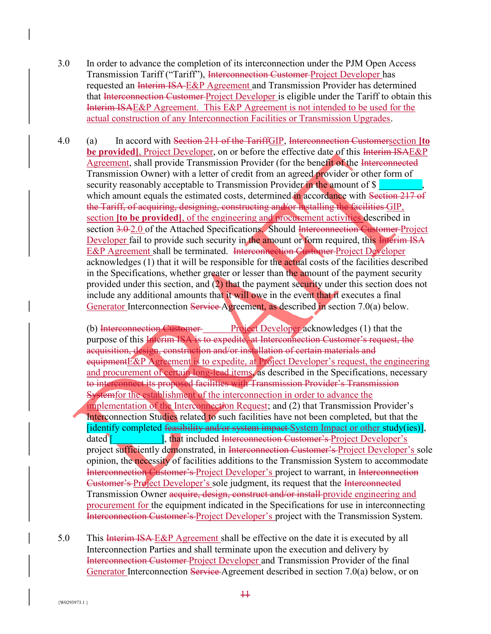- 3.0 In order to advance the completion of its interconnection under the PJM Open Access Transmission Tariff ("Tariff"), Interconnection Customer Project Developer has requested an Interim ISA E&P Agreement and Transmission Provider has determined that Interconnection Customer Project Developer is eligible under the Tariff to obtain this Interim ISAE&P Agreement. This E&P Agreement is not intended to be used for the actual construction of any Interconnection Facilities or Transmission Upgrades.
- 4.0 (a) In accord with Section 211 of the TariffGIP, Interconnection Customersection **[to be provided**, Project Developer, on or before the effective date of this Interim ISAE&P Agreement, shall provide Transmission Provider (for the benefit of the Interconnected Transmission Owner) with a letter of credit from an agreed provider or other form of security reasonably acceptable to Transmission Provider in the amount of  $\$ which amount equals the estimated costs, determined in accordance with Section 217 of the Tariff, of acquiring, designing, constructing and/or installing the facilities GIP, section **[to be provided]**, of the engineering and procurement activities described in section 3.0-2.0 of the Attached Specifications. Should Interconnection Customer Project Developer fail to provide such security in the amount or form required, this Interim ISA E&P Agreement shall be terminated. Interconnection Customer Project Developer acknowledges (1) that it will be responsible for the actual costs of the facilities described in the Specifications, whether greater or lesser than the amount of the payment security provided under this section, and (2) that the payment security under this section does not include any additional amounts that it will owe in the event that it executes a final Generator Interconnection Service-Agreement, as described in section 7.0(a) below.

(b) Interconnection Customer Project Developer acknowledges (1) that the purpose of this **Interim ISA** is to expedite, at Interconnection Customer's request, the acquisition, design, construction and/or installation of certain materials and equipmentE&P Agreement is to expedite, at Project Developer's request, the engineering and procurement of certain long-lead items, as described in the Specifications, necessary to interconnect its proposed facilities with Transmission Provider's Transmission Systemfor the establishment of the interconnection in order to advance the implementation of the Interconnection Request; and (2) that Transmission Provider's Interconnection Studies related to such facilities have not been completed, but that the [identify completed feasibility and/or system impact System Impact or other study(ies)], dated [The Later of Later 1, that included Interconnection Customer's Project Developer's project sufficiently demonstrated, in Interconnection Customer's Project Developer's sole opinion, the necessity of facilities additions to the Transmission System to accommodate Interconnection Customer's Project Developer's project to warrant, in Interconnection Customer's Project Developer's sole judgment, its request that the Interconnected Transmission Owner acquire, design, construct and/or install-provide engineering and procurement for the equipment indicated in the Specifications for use in interconnecting Interconnection Customer's Project Developer's project with the Transmission System.

5.0 This Interim ISA E&P Agreement shall be effective on the date it is executed by all Interconnection Parties and shall terminate upon the execution and delivery by Interconnection Customer Project Developer and Transmission Provider of the final Generator Interconnection Service Agreement described in section 7.0(a) below, or on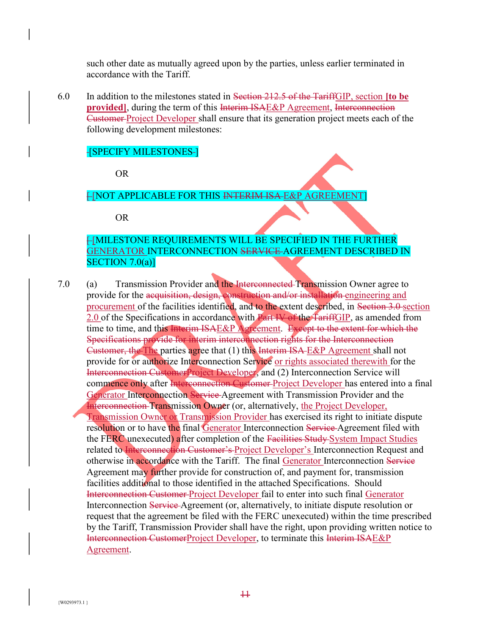such other date as mutually agreed upon by the parties, unless earlier terminated in accordance with the Tariff.

6.0 In addition to the milestones stated in Section 212.5 of the TariffGIP, section **[to be provided**, during the term of this Interim ISAE&P Agreement, Interconnection Customer Project Developer shall ensure that its generation project meets each of the following development milestones:

### **[SPECIFY MILESTONES-]**

OR

## **FINOT APPLICABLE FOR THIS INTERIM ISA E&P AGREEMENT**

OR

## **FIMILESTONE REQUIREMENTS WILL BE SPECIFIED IN THE FURTHER** GENERATOR INTERCONNECTION SERVICE AGREEMENT DESCRIBED IN SECTION  $7.0(a)$ ]

7.0 (a) Transmission Provider and the Interconnected Transmission Owner agree to provide for the acquisition, design, construction and/or installation engineering and procurement of the facilities identified, and to the extent described, in Section 3.0 section 2.0 of the Specifications in accordance with Part IV of the TariffGIP, as amended from time to time, and this Interim ISAE&P Agreement. Except to the extent for which the Specifications provide for interim interconnection rights for the Interconnection Customer, the The parties agree that (1) this Interim ISA E&P Agreement shall not provide for or authorize Interconnection Service or rights associated therewith for the Interconnection CustomerProject Developer, and (2) Interconnection Service will commence only after Interconnection Customer Project Developer has entered into a final Generator Interconnection Service Agreement with Transmission Provider and the Interconnection Transmission Owner (or, alternatively, the Project Developer, Transmission Owner or Transmission Provider has exercised its right to initiate dispute resolution or to have the final Generator Interconnection Service Agreement filed with the FERC unexecuted) after completion of the Facilities Study System Impact Studies related to Interconnection Customer's Project Developer's Interconnection Request and otherwise in accordance with the Tariff. The final Generator Interconnection Service Agreement may further provide for construction of, and payment for, transmission facilities additional to those identified in the attached Specifications. Should Interconnection Customer Project Developer fail to enter into such final Generator Interconnection Service Agreement (or, alternatively, to initiate dispute resolution or request that the agreement be filed with the FERC unexecuted) within the time prescribed by the Tariff, Transmission Provider shall have the right, upon providing written notice to Interconnection CustomerProject Developer, to terminate this Interim ISAE&P Agreement.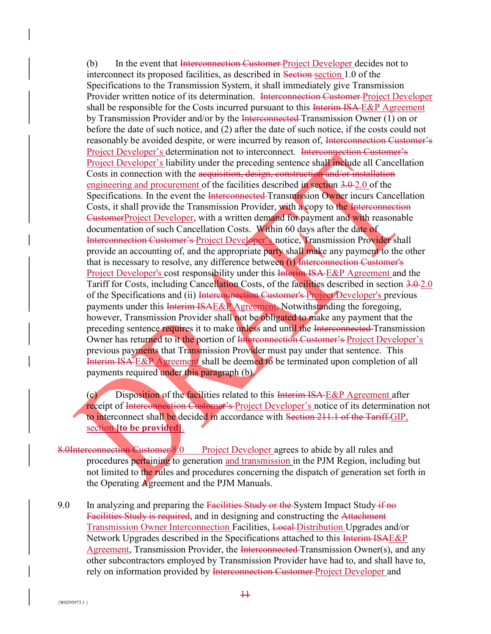(b) In the event that Interconnection Customer Project Developer decides not to interconnect its proposed facilities, as described in Section section 1.0 of the Specifications to the Transmission System, it shall immediately give Transmission Provider written notice of its determination. Interconnection Customer-Project Developer shall be responsible for the Costs incurred pursuant to this Interim ISA-E&P Agreement by Transmission Provider and/or by the Interconnected Transmission Owner (1) on or before the date of such notice, and (2) after the date of such notice, if the costs could not reasonably be avoided despite, or were incurred by reason of, Interconnection Customer's Project Developer's determination not to interconnect. Interconnection Customer's Project Developer's liability under the preceding sentence shall include all Cancellation Costs in connection with the acquisition, design, construction and/or installation engineering and procurement of the facilities described in section 3.0-2.0 of the Specifications. In the event the Interconnected Transmission Owner incurs Cancellation Costs, it shall provide the Transmission Provider, with a copy to the Interconnection CustomerProject Developer, with a written demand for payment and with reasonable documentation of such Cancellation Costs. Within 60 days after the date of Interconnection Customer's Project Developer's notice, Transmission Provider shall provide an accounting of, and the appropriate party shall make any payment to the other that is necessary to resolve, any difference between (i) Interconnection Customer's Project Developer's cost responsibility under this Interim ISA-E&P Agreement and the Tariff for Costs, including Cancellation Costs, of the facilities described in section 3.0-2.0 of the Specifications and (ii) Interconnection Customer's Project Developer's previous payments under this Interim ISAE&P Agreement. Notwithstanding the foregoing, however, Transmission Provider shall not be obligated to make any payment that the preceding sentence requires it to make unless and until the Interconnected Transmission Owner has returned to it the portion of Interconnection Customer's Project Developer's previous payments that Transmission Provider must pay under that sentence. This Interim ISA E&P Agreement shall be deemed to be terminated upon completion of all payments required under this paragraph (b).

(c) Disposition of the facilities related to this Interim ISA E&P Agreement after receipt of Interconnection Customer's Project Developer's notice of its determination not to interconnect shall be decided in accordance with Section 211.1 of the Tariff.GIP, section **[to be provided]**.

- 8.0Interconnection Customer 8.0 Project Developer agrees to abide by all rules and procedures pertaining to generation and transmission in the PJM Region, including but not limited to the rules and procedures concerning the dispatch of generation set forth in the Operating Agreement and the PJM Manuals.
- 9.0 In analyzing and preparing the Facilities Study or the System Impact Study  $\frac{1}{1}$  no Facilities Study is required, and in designing and constructing the Attachment Transmission Owner Interconnection Facilities, Local Distribution Upgrades and/or Network Upgrades described in the Specifications attached to this Interim ISAE&P Agreement, Transmission Provider, the Interconnected Transmission Owner(s), and any other subcontractors employed by Transmission Provider have had to, and shall have to, rely on information provided by Interconnection Customer Project Developer and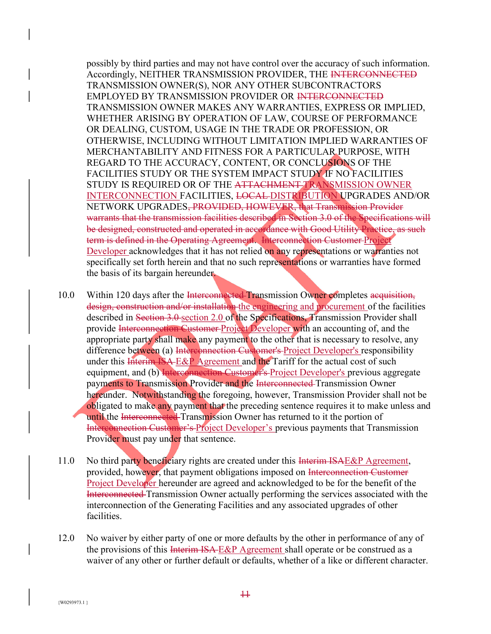possibly by third parties and may not have control over the accuracy of such information. Accordingly, NEITHER TRANSMISSION PROVIDER, THE INTERCONNECTED TRANSMISSION OWNER(S), NOR ANY OTHER SUBCONTRACTORS EMPLOYED BY TRANSMISSION PROVIDER OR INTERCONNECTED TRANSMISSION OWNER MAKES ANY WARRANTIES, EXPRESS OR IMPLIED, WHETHER ARISING BY OPERATION OF LAW, COURSE OF PERFORMANCE OR DEALING, CUSTOM, USAGE IN THE TRADE OR PROFESSION, OR OTHERWISE, INCLUDING WITHOUT LIMITATION IMPLIED WARRANTIES OF MERCHANTABILITY AND FITNESS FOR A PARTICULAR PURPOSE, WITH REGARD TO THE ACCURACY, CONTENT, OR CONCLUSIONS OF THE FACILITIES STUDY OR THE SYSTEM IMPACT STUDY IF NO FACILITIES STUDY IS REQUIRED OR OF THE ATTACHMENT TRANSMISSION OWNER INTERCONNECTION FACILITIES, LOCAL DISTRIBUTION UPGRADES AND/OR NETWORK UPGRADES, PROVIDED, HOWEVER, that Transmission Provider warrants that the transmission facilities described in Section 3.0 of the Specifications will be designed, constructed and operated in accordance with Good Utility Practice, as such term is defined in the Operating Agreement. Interconnection Customer Project Developer acknowledges that it has not relied on any representations or warranties not specifically set forth herein and that no such representations or warranties have formed the basis of its bargain hereunder.

- 10.0 Within 120 days after the Interconnected Transmission Owner completes acquisition, design, construction and/or installation the engineering and procurement of the facilities described in Section 3.0 section 2.0 of the Specifications, Transmission Provider shall provide Interconnection Customer Project Developer with an accounting of, and the appropriate party shall make any payment to the other that is necessary to resolve, any difference between (a) Interconnection Customer's Project Developer's responsibility under this Interim ISA-E&P Agreement and the Tariff for the actual cost of such equipment, and (b) Interconnection Customer's Project Developer's previous aggregate payments to Transmission Provider and the Interconnected Transmission Owner hereunder. Notwithstanding the foregoing, however, Transmission Provider shall not be obligated to make any payment that the preceding sentence requires it to make unless and until the Interconnected Transmission Owner has returned to it the portion of Interconnection Customer's Project Developer's previous payments that Transmission Provider must pay under that sentence.
- 11.0 No third party beneficiary rights are created under this Interim ISAE&P Agreement, provided, however, that payment obligations imposed on Interconnection Customer Project Developer hereunder are agreed and acknowledged to be for the benefit of the Interconnected Transmission Owner actually performing the services associated with the interconnection of the Generating Facilities and any associated upgrades of other facilities.
- 12.0 No waiver by either party of one or more defaults by the other in performance of any of the provisions of this Interim ISA-E&P Agreement shall operate or be construed as a waiver of any other or further default or defaults, whether of a like or different character.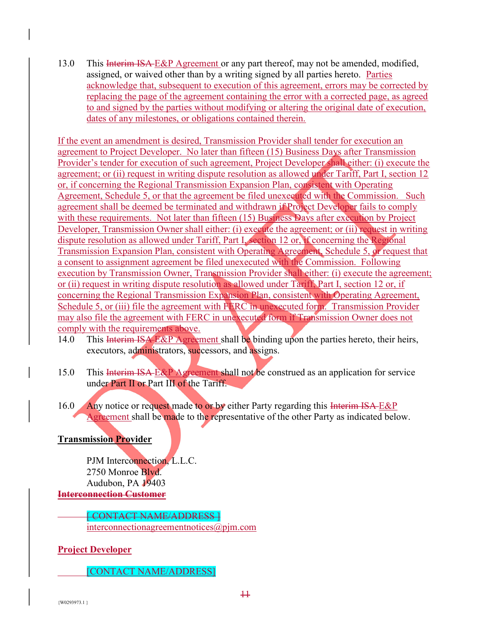13.0 This Interim ISA-E&P Agreement or any part thereof, may not be amended, modified, assigned, or waived other than by a writing signed by all parties hereto. Parties acknowledge that, subsequent to execution of this agreement, errors may be corrected by replacing the page of the agreement containing the error with a corrected page, as agreed to and signed by the parties without modifying or altering the original date of execution, dates of any milestones, or obligations contained therein.

If the event an amendment is desired, Transmission Provider shall tender for execution an agreement to Project Developer. No later than fifteen (15) Business Days after Transmission Provider's tender for execution of such agreement, Project Developer shall either: (i) execute the agreement; or (ii) request in writing dispute resolution as allowed under Tariff, Part I, section 12 or, if concerning the Regional Transmission Expansion Plan, consistent with Operating Agreement, Schedule 5, or that the agreement be filed unexecuted with the Commission. Such agreement shall be deemed be terminated and withdrawn if Project Developer fails to comply with these requirements. Not later than fifteen (15) Business Days after execution by Project Developer, Transmission Owner shall either: (i) execute the agreement; or (ii) request in writing dispute resolution as allowed under Tariff, Part I, section 12 or, if concerning the Regional Transmission Expansion Plan, consistent with Operating Agreement, Schedule 5, or request that a consent to assignment agreement be filed unexecuted with the Commission. Following execution by Transmission Owner, Transmission Provider shall either: (i) execute the agreement; or (ii) request in writing dispute resolution as allowed under Tariff, Part I, section 12 or, if concerning the Regional Transmission Expansion Plan, consistent with Operating Agreement, Schedule 5, or (iii) file the agreement with FERC in unexecuted form. Transmission Provider may also file the agreement with FERC in unexecuted form if Transmission Owner does not comply with the requirements above.

- 14.0 This Interim ISA E&P Agreement shall be binding upon the parties hereto, their heirs, executors, administrators, successors, and assigns.
- 15.0 This Interim ISA E&P Agreement shall not be construed as an application for service under Part II or Part III of the Tariff.
- 16.0 Any notice or request made to or by either Party regarding this Interim ISA-E&P Agreement shall be made to the representative of the other Party as indicated below.

## **Transmission Provider**

 PJM Interconnection, L.L.C. 2750 Monroe Blvd. Audubon, PA 19403 **Interconnection Customer** 

 [ CONTACT NAME/ADDRESS ] interconnectionagreementnotices@pjm.com

**Project Developer** 

[CONTACT NAME/ADDRESS]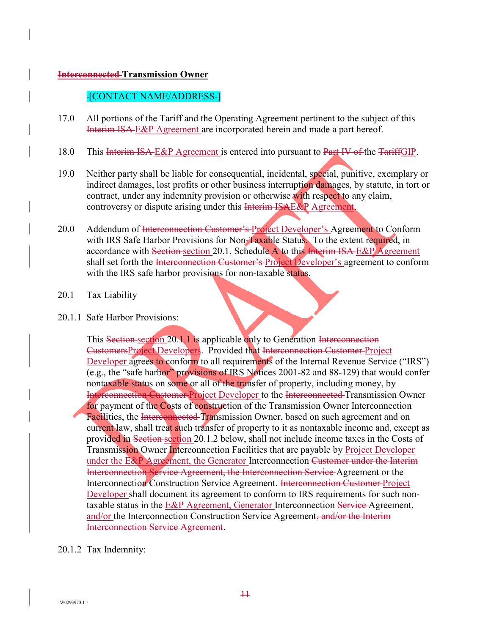## **Interconnected Transmission Owner**

## -[CONTACT NAME/ADDRESS-]

- 17.0 All portions of the Tariff and the Operating Agreement pertinent to the subject of this Interim ISA-E&P Agreement are incorporated herein and made a part hereof.
- 18.0 This Interim ISA E&P Agreement is entered into pursuant to Part IV of the TariffGIP.
- 19.0 Neither party shall be liable for consequential, incidental, special, punitive, exemplary or indirect damages, lost profits or other business interruption damages, by statute, in tort or contract, under any indemnity provision or otherwise with respect to any claim, controversy or dispute arising under this **Interim ISAE&P** Agreement.
- 20.0 Addendum of Interconnection Customer's Project Developer's Agreement to Conform with IRS Safe Harbor Provisions for Non-Taxable Status. To the extent required, in accordance with Section section 20.1, Schedule A to this Interim ISA E&P Agreement shall set forth the Interconnection Customer's Project Developer's agreement to conform with the IRS safe harbor provisions for non-taxable status.

## 20.1 Tax Liability

#### 20.1.1 Safe Harbor Provisions:

This Section section 20.1.1 is applicable only to Generation Interconnection CustomersProject Developers. Provided that Interconnection Customer Project Developer agrees to conform to all requirements of the Internal Revenue Service ("IRS") (e.g., the "safe harbor" provisions of IRS Notices 2001-82 and 88-129) that would confer nontaxable status on some or all of the transfer of property, including money, by Interconnection Customer Project Developer to the Interconnected Transmission Owner for payment of the Costs of construction of the Transmission Owner Interconnection Facilities, the Interconnected Transmission Owner, based on such agreement and on current law, shall treat such transfer of property to it as nontaxable income and, except as provided in Section section 20.1.2 below, shall not include income taxes in the Costs of Transmission Owner Interconnection Facilities that are payable by Project Developer under the E&P Agreement, the Generator Interconnection Customer under the Interim Interconnection Service Agreement, the Interconnection Service Agreement or the Interconnection Construction Service Agreement. Interconnection Customer Project Developer shall document its agreement to conform to IRS requirements for such nontaxable status in the  $E\&P$  Agreement, Generator Interconnection Service-Agreement, and/or the Interconnection Construction Service Agreement, and/or the Interim Interconnection Service Agreement.

## 20.1.2 Tax Indemnity: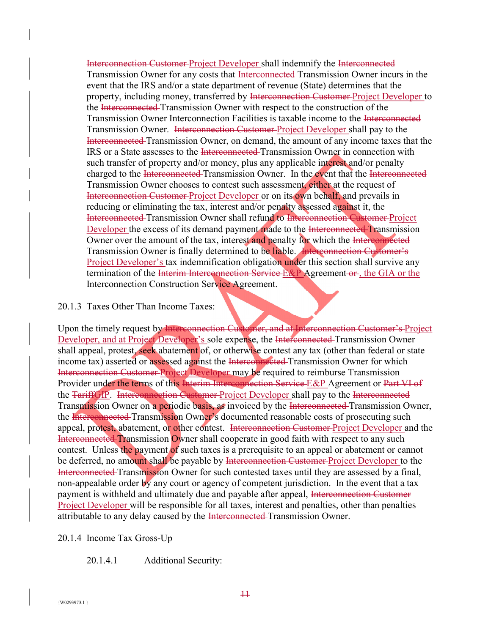Interconnection Customer Project Developer shall indemnify the Interconnected Transmission Owner for any costs that Interconnected Transmission Owner incurs in the event that the IRS and/or a state department of revenue (State) determines that the property, including money, transferred by Interconnection Customer-Project Developer to the Interconnected Transmission Owner with respect to the construction of the Transmission Owner Interconnection Facilities is taxable income to the Interconnected Transmission Owner. Interconnection Customer Project Developer shall pay to the Interconnected Transmission Owner, on demand, the amount of any income taxes that the IRS or a State assesses to the Interconnected Transmission Owner in connection with such transfer of property and/or money, plus any applicable interest and/or penalty charged to the Interconnected Transmission Owner. In the event that the Interconnected Transmission Owner chooses to contest such assessment, either at the request of Interconnection Customer Project Developer or on its own behalf, and prevails in reducing or eliminating the tax, interest and/or penalty assessed against it, the Interconnected Transmission Owner shall refund to Interconnection Customer Project Developer the excess of its demand payment made to the Interconnected Transmission Owner over the amount of the tax, interest and penalty for which the Interconnected Transmission Owner is finally determined to be liable. Interconnection Customer's Project Developer's tax indemnification obligation under this section shall survive any termination of the Interim Interconnection Service E&P Agreement or, the GIA or the Interconnection Construction Service Agreement.

#### 20.1.3 Taxes Other Than Income Taxes:

Upon the timely request by Interconnection Customer, and at Interconnection Customer's Project Developer, and at Project Developer's sole expense, the Interconnected Transmission Owner shall appeal, protest, seek abatement of, or otherwise contest any tax (other than federal or state income tax) asserted or assessed against the Interconnected Transmission Owner for which Interconnection Customer Project Developer may be required to reimburse Transmission Provider under the terms of this Interim Interconnection Service E&P Agreement or Part VI of the TariffGIP. Interconnection Customer Project Developer shall pay to the Interconnected Transmission Owner on a periodic basis, as invoiced by the Interconnected Transmission Owner, the Interconnected Transmission Owner's documented reasonable costs of prosecuting such appeal, protest, abatement, or other contest. Interconnection Customer Project Developer and the Interconnected Transmission Owner shall cooperate in good faith with respect to any such contest. Unless the payment of such taxes is a prerequisite to an appeal or abatement or cannot be deferred, no amount shall be payable by Interconnection Customer-Project Developer to the Interconnected Transmission Owner for such contested taxes until they are assessed by a final, non-appealable order by any court or agency of competent jurisdiction. In the event that a tax payment is withheld and ultimately due and payable after appeal, Interconnection Customer Project Developer will be responsible for all taxes, interest and penalties, other than penalties attributable to any delay caused by the Interconnected Transmission Owner.

#### 20.1.4 Income Tax Gross-Up

#### 20.1.4.1 Additional Security: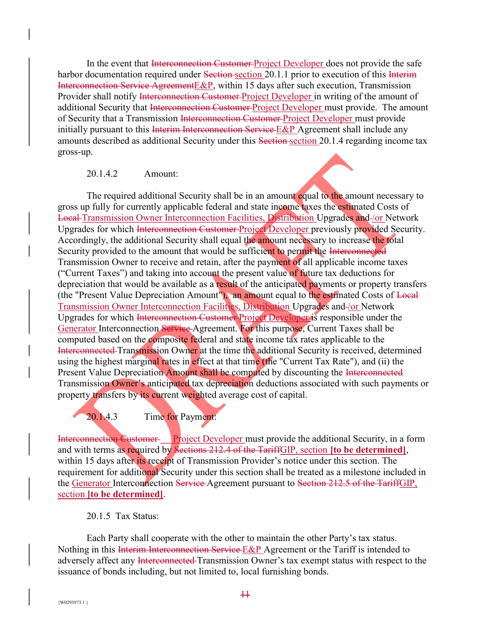In the event that Interconnection Customer-Project Developer does not provide the safe harbor documentation required under Section section 20.1.1 prior to execution of this Interim Interconnection Service AgreementE&P, within 15 days after such execution, Transmission Provider shall notify Interconnection Customer-Project Developer in writing of the amount of additional Security that Interconnection Customer Project Developer must provide. The amount of Security that a Transmission Interconnection Customer Project Developer must provide initially pursuant to this Interim Interconnection Service E&P Agreement shall include any amounts described as additional Security under this Section section 20.1.4 regarding income tax gross-up.

#### 20.1.4.2 Amount:

The required additional Security shall be in an amount equal to the amount necessary to gross up fully for currently applicable federal and state income taxes the estimated Costs of Local Transmission Owner Interconnection Facilities, Distribution Upgrades and /or Network Upgrades for which Interconnection Customer Project Developer previously provided Security. Accordingly, the additional Security shall equal the amount necessary to increase the total Security provided to the amount that would be sufficient to permit the Interconnected Transmission Owner to receive and retain, after the payment of all applicable income taxes ("Current Taxes") and taking into account the present value of future tax deductions for depreciation that would be available as a result of the anticipated payments or property transfers (the "Present Value Depreciation Amount"), an amount equal to the estimated Costs of Local Transmission Owner Interconnection Facilities, Distribution Upgrades and /or Network Upgrades for which Interconnection Customer Project Developer is responsible under the Generator Interconnection Service Agreement. For this purpose, Current Taxes shall be computed based on the composite federal and state income tax rates applicable to the Interconnected Transmission Owner at the time the additional Security is received, determined using the highest marginal rates in effect at that time (the "Current Tax Rate"), and (ii) the Present Value Depreciation Amount shall be computed by discounting the Interconnected Transmission Owner's anticipated tax depreciation deductions associated with such payments or property transfers by its current weighted average cost of capital.

20.1.4.3 Time for Payment:

Interconnection Customer Project Developer must provide the additional Security, in a form and with terms as required by Sections 212.4 of the TariffGIP, section **[to be determined]**, within 15 days after its receipt of Transmission Provider's notice under this section. The requirement for additional Security under this section shall be treated as a milestone included in the Generator Interconnection Service Agreement pursuant to Section 212.5 of the TariffGIP, section **[to be determined]**.

#### 20.1.5 Tax Status:

 Each Party shall cooperate with the other to maintain the other Party's tax status. Nothing in this Interim Interconnection Service E&P Agreement or the Tariff is intended to adversely affect any Interconnected Transmission Owner's tax exempt status with respect to the issuance of bonds including, but not limited to, local furnishing bonds.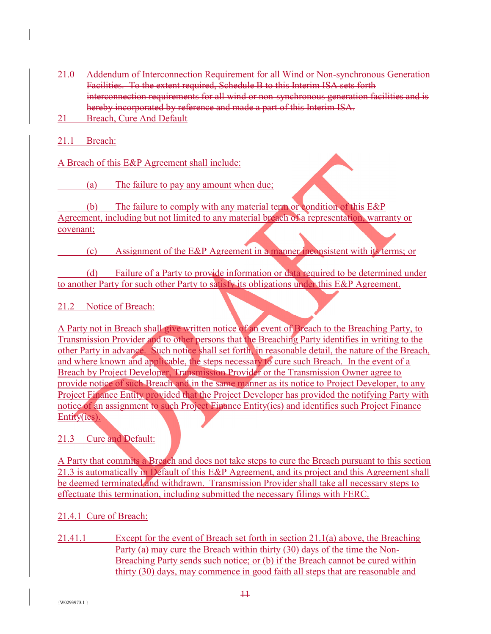- 21.0 Addendum of Interconnection Requirement for all Wind or Non-synchronous Generation Facilities. To the extent required, Schedule B to this Interim ISA sets forth interconnection requirements for all wind or non-synchronous generation facilities and is hereby incorporated by reference and made a part of this Interim ISA.
- 21 Breach, Cure And Default
- 21.1 Breach:

A Breach of this E&P Agreement shall include:

(a) The failure to pay any amount when due;

 (b) The failure to comply with any material term or condition of this E&P Agreement, including but not limited to any material breach of a representation, warranty or covenant;

(c) Assignment of the E&P Agreement in a manner inconsistent with its terms; or

 (d) Failure of a Party to provide information or data required to be determined under to another Party for such other Party to satisfy its obligations under this E&P Agreement.

## 21.2 Notice of Breach:

A Party not in Breach shall give written notice of an event of Breach to the Breaching Party, to Transmission Provider and to other persons that the Breaching Party identifies in writing to the other Party in advance. Such notice shall set forth, in reasonable detail, the nature of the Breach, and where known and applicable, the steps necessary to cure such Breach. In the event of a Breach by Project Developer, Transmission Provider or the Transmission Owner agree to provide notice of such Breach and in the same manner as its notice to Project Developer, to any Project Finance Entity provided that the Project Developer has provided the notifying Party with notice of an assignment to such Project Finance Entity(ies) and identifies such Project Finance Entity(ies).

## 21.3 Cure and Default:

A Party that commits a Breach and does not take steps to cure the Breach pursuant to this section 21.3 is automatically in Default of this E&P Agreement, and its project and this Agreement shall be deemed terminated and withdrawn. Transmission Provider shall take all necessary steps to effectuate this termination, including submitted the necessary filings with FERC.

## 21.4.1 Cure of Breach:

21.41.1 Except for the event of Breach set forth in section 21.1(a) above, the Breaching Party (a) may cure the Breach within thirty (30) days of the time the Non-Breaching Party sends such notice; or (b) if the Breach cannot be cured within thirty (30) days, may commence in good faith all steps that are reasonable and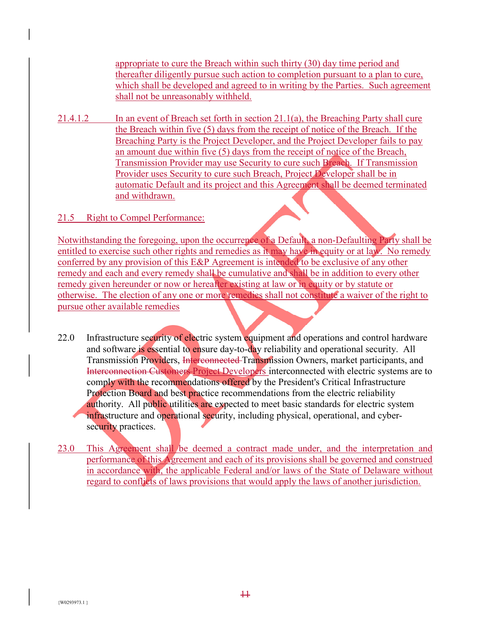appropriate to cure the Breach within such thirty (30) day time period and thereafter diligently pursue such action to completion pursuant to a plan to cure, which shall be developed and agreed to in writing by the Parties. Such agreement shall not be unreasonably withheld.

21.4.1.2 In an event of Breach set forth in section 21.1(a), the Breaching Party shall cure the Breach within five (5) days from the receipt of notice of the Breach. If the Breaching Party is the Project Developer, and the Project Developer fails to pay an amount due within five (5) days from the receipt of notice of the Breach, Transmission Provider may use Security to cure such Breach. If Transmission Provider uses Security to cure such Breach, Project Developer shall be in automatic Default and its project and this Agreement shall be deemed terminated and withdrawn.

## 21.5 Right to Compel Performance:

Notwithstanding the foregoing, upon the occurrence of a Default, a non-Defaulting Party shall be entitled to exercise such other rights and remedies as it may have in equity or at law. No remedy conferred by any provision of this E&P Agreement is intended to be exclusive of any other remedy and each and every remedy shall be cumulative and shall be in addition to every other remedy given hereunder or now or hereafter existing at law or in equity or by statute or otherwise. The election of any one or more remedies shall not constitute a waiver of the right to pursue other available remedies

- 22.0 Infrastructure security of electric system equipment and operations and control hardware and software is essential to ensure day-to-day reliability and operational security. All Transmission Providers, Interconnected Transmission Owners, market participants, and Interconnection Customers Project Developers interconnected with electric systems are to comply with the recommendations offered by the President's Critical Infrastructure Protection Board and best practice recommendations from the electric reliability authority. All public utilities are expected to meet basic standards for electric system infrastructure and operational security, including physical, operational, and cybersecurity practices.
- 23.0 This Agreement shall be deemed a contract made under, and the interpretation and performance of this Agreement and each of its provisions shall be governed and construed in accordance with, the applicable Federal and/or laws of the State of Delaware without regard to conflicts of laws provisions that would apply the laws of another jurisdiction.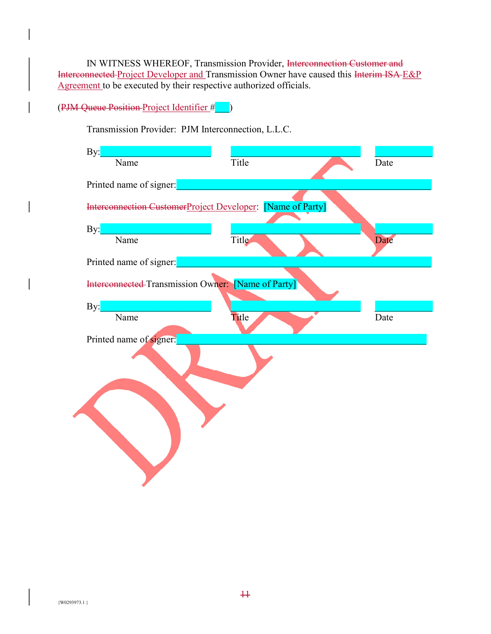IN WITNESS WHEREOF, Transmission Provider, Interconnection Customer and Interconnected Project Developer and Transmission Owner have caused this Interim ISA E&P Agreement to be executed by their respective authorized officials.

## (PJM Queue Position Project Identifier #\_\_\_)

Transmission Provider: PJM Interconnection, L.L.C.

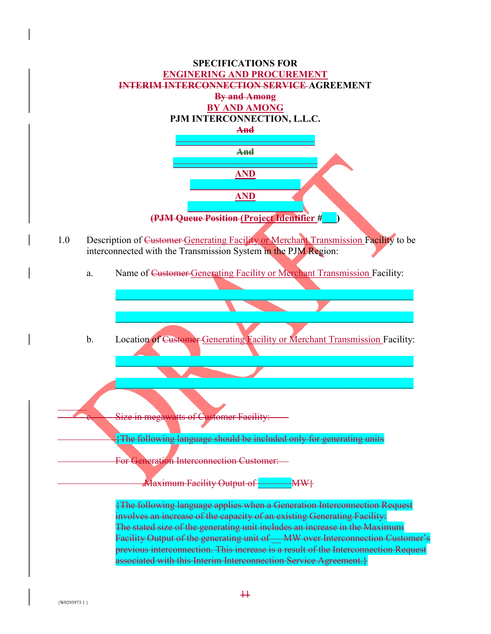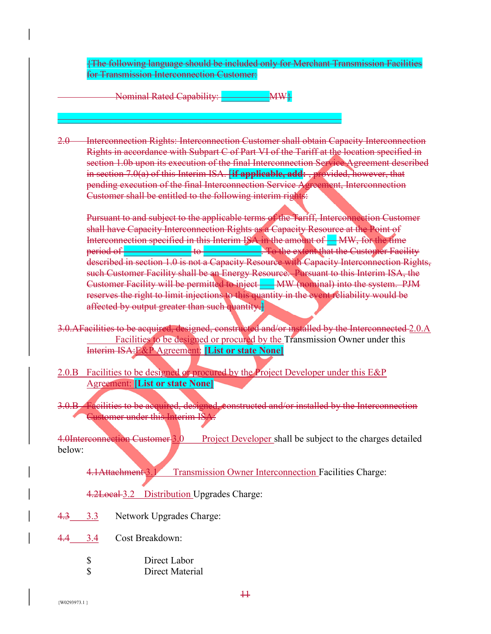{The following language should be included only for Merchant Transmission Facilities for Transmission Interconnection Customer:

Nominal Rated Capability: MW}

 $\overline{\phantom{a}}$  , and the contract of the contract of the contract of the contract of the contract of the contract of the contract of the contract of the contract of the contract of the contract of the contract of the contrac

2.0 Interconnection Rights: Interconnection Customer shall obtain Capacity Interconnection Rights in accordance with Subpart C of Part VI of the Tariff at the location specified in section 1.0b upon its execution of the final Interconnection Service Agreement described in section 7.0(a) of this Interim ISA. [**if applicable, add:** , provided, however, that pending execution of the final Interconnection Service Agreement, Interconnection Customer shall be entitled to the following interim rights:

Pursuant to and subject to the applicable terms of the Tariff, Interconnection Customer shall have Capacity Interconnection Rights as a Capacity Resource at the Point of Interconnection specified in this Interim ISA in the amount of **WA**, for the time period of **Extending Lines and Section** to **Lines 2**. To the extent that the Customer Facility described in section 1.0 is not a Capacity Resource with Capacity Interconnection Rights, such Customer Facility shall be an Energy Resource. Pursuant to this Interim ISA, the Customer Facility will be permitted to inject **WW** (nominal) into the system. PJM reserves the right to limit injections to this quantity in the event reliability would be affected by output greater than such quantity.

- 3.0.AFacilities to be acquired, designed, constructed and/or installed by the Interconnected 2.0.A Facilities to be designed or procured by the Transmission Owner under this Interim ISA:E&P Agreement: **[List or state None]**
- 2.0.B Facilities to be designed or procured by the Project Developer under this E&P Agreement: **[List or state None]**
- 3.0.B Facilities to be acquired, designed, constructed and/or installed by the Interconnection Customer under this Interim ISA:

4.0Interconnection Customer 3.0 Project Developer shall be subject to the charges detailed below:

4.1Attachment 3.1 Transmission Owner Interconnection Facilities Charge:

4.2Local 3.2 Distribution Upgrades Charge:

- 4.3 3.3 Network Upgrades Charge:
- 4.4 3.4 Cost Breakdown:
	- \$ Direct Labor \$ Direct Material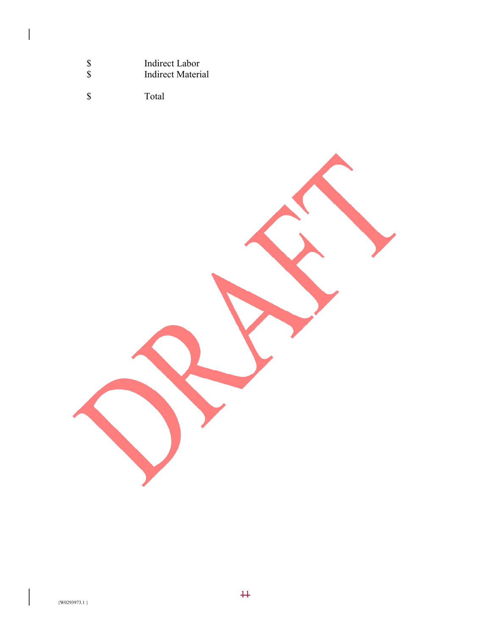| <sup>\$</sup> | Indirect Labor    |
|---------------|-------------------|
| <sup>S</sup>  | Indirect Material |

\$ Total

 $\overline{\phantom{a}}$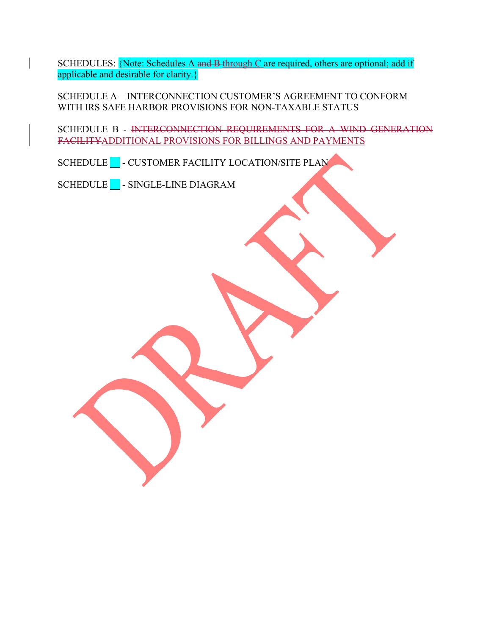SCHEDULES: {Note: Schedules A and B-through C are required, others are optional; add if applicable and desirable for clarity.}

SCHEDULE A – INTERCONNECTION CUSTOMER'S AGREEMENT TO CONFORM WITH IRS SAFE HARBOR PROVISIONS FOR NON-TAXABLE STATUS

SCHEDULE B - INTERCONNECTION REQUIREMENTS FOR A WIND GENERATION FACILITYADDITIONAL PROVISIONS FOR BILLINGS AND PAYMENTS

SCHEDULE LOCATION FACILITY LOCATION/SITE PLAN

SCHEDULE **\_\_\_** - SINGLE-LINE DIAGRAM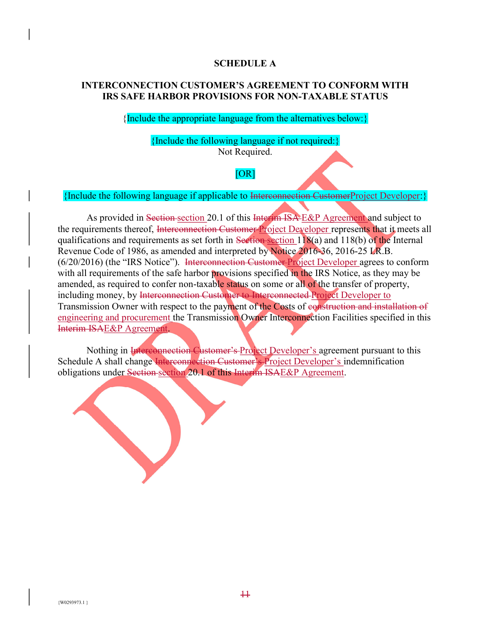#### **SCHEDULE A**

### **INTERCONNECTION CUSTOMER'S AGREEMENT TO CONFORM WITH IRS SAFE HARBOR PROVISIONS FOR NON-TAXABLE STATUS**

{Include the appropriate language from the alternatives below:}

### {Include the following language if not required:}

Not Required.

## [OR]

{Include the following language if applicable to Interconnection CustomerProject Developer:}

As provided in Section section 20.1 of this Interim ISA E&P Agreement and subject to the requirements thereof, Interconnection Customer Project Developer represents that it meets all qualifications and requirements as set forth in Section section 118(a) and 118(b) of the Internal Revenue Code of 1986, as amended and interpreted by Notice 2016-36, 2016-25 I.R.B. (6/20/2016) (the "IRS Notice"). Interconnection Customer Project Developer agrees to conform with all requirements of the safe harbor provisions specified in the IRS Notice, as they may be amended, as required to confer non-taxable status on some or all of the transfer of property, including money, by Interconnection Customer to Interconnected Project Developer to Transmission Owner with respect to the payment of the Costs of construction and installation of engineering and procurement the Transmission Owner Interconnection Facilities specified in this Interim ISAE&P Agreement.

Nothing in Interconnection Customer's Project Developer's agreement pursuant to this Schedule A shall change Interconnection Customer's Project Developer's indemnification obligations under Section section 20.1 of this Interim ISAE&P Agreement.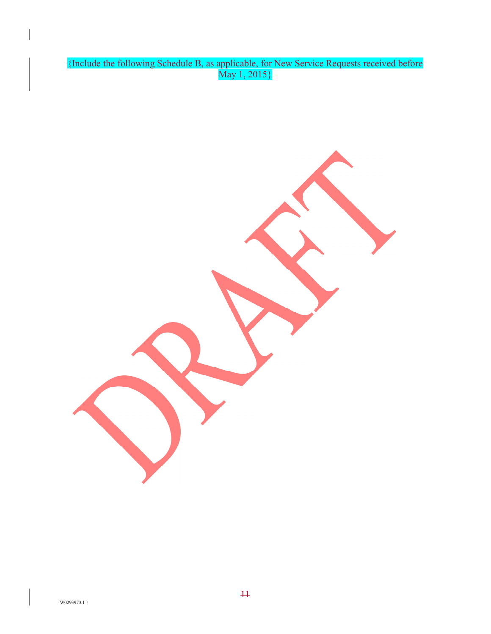{Include the following Schedule B, as applicable, for New Service Requests received before May 1, 2015}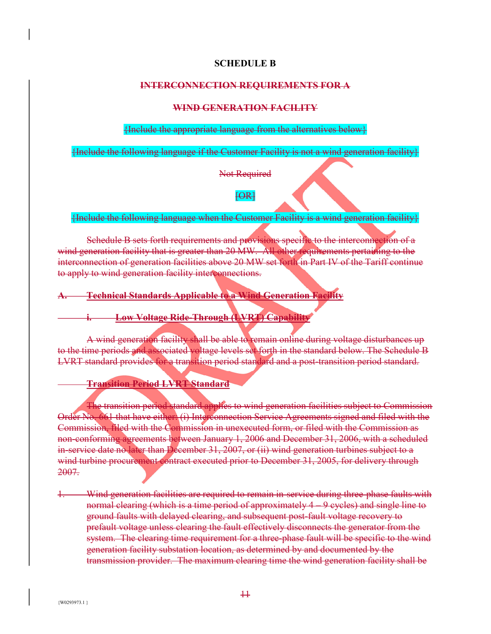#### **SCHEDULE B**

#### **INTERCONNECTION REQUIREMENTS FOR A**

#### **WIND GENERATION FACILITY**

#### {Include the appropriate language from the alternatives below}

{Include the following language if the Customer Facility is not a wind generation facility}

Not Required

 $FA$ 

{Include the following language when the Customer Facility is a wind generation facility}

Schedule B sets forth requirements and provisions specific to the interconnection of a wind generation facility that is greater than 20 MW. All other requirements pertaining to the interconnection of generation facilities above 20 MW set forth in Part IV of the Tariff continue to apply to wind generation facility interconnections.

**A. Technical Standards Applicable to a Wind Generation Facility** 

**Low Voltage Ride-Through (LVRT) Capability** 

A wind generation facility shall be able to remain online during voltage disturbances up to the time periods and associated voltage levels set forth in the standard below. The Schedule B LVRT standard provides for a transition period standard and a post-transition period standard.

 **Transition Period LVRT Standard** 

The transition period standard applies to wind generation facilities subject to Commission Order No. 661 that have either: (i) Interconnection Service Agreements signed and filed with the Commission, filed with the Commission in unexecuted form, or filed with the Commission as non-conforming agreements between January 1, 2006 and December 31, 2006, with a scheduled in-service date no later than December 31, 2007, or (ii) wind generation turbines subject to a wind turbine procurement contract executed prior to December 31, 2005, for delivery through 2007.

1. Wind generation facilities are required to remain in-service during three-phase faults with normal clearing (which is a time period of approximately 4 – 9 cycles) and single line to ground faults with delayed clearing, and subsequent post-fault voltage recovery to prefault voltage unless clearing the fault effectively disconnects the generator from the system. The clearing time requirement for a three-phase fault will be specific to the wind generation facility substation location, as determined by and documented by the transmission provider. The maximum clearing time the wind generation facility shall be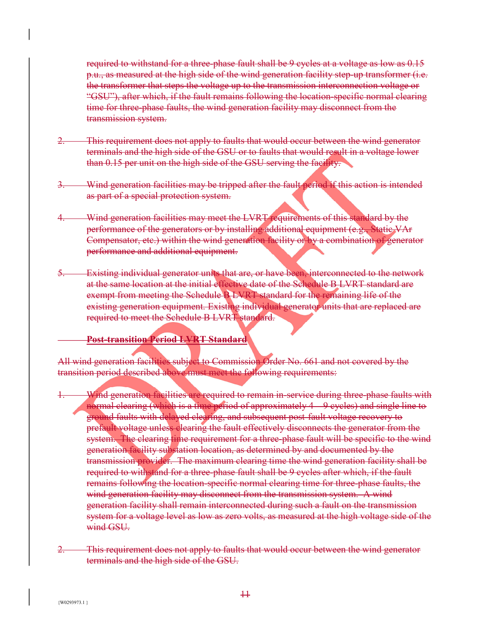required to withstand for a three-phase fault shall be 9 cycles at a voltage as low as 0.15 p.u., as measured at the high side of the wind generation facility step-up transformer (i.e. the transformer that steps the voltage up to the transmission interconnection voltage or "GSU"), after which, if the fault remains following the location-specific normal clearing time for three-phase faults, the wind generation facility may disconnect from the transmission system.

- This requirement does not apply to faults that would occur between the wind generator terminals and the high side of the GSU or to faults that would result in a voltage lower than 0.15 per unit on the high side of the GSU serving the facility.
- Wind generation facilities may be tripped after the fault period if this action is intended as part of a special protection system.
- Wind generation facilities may meet the LVRT requirements of this standard by the performance of the generators or by installing additional equipment (e.g., Static VAr Compensator, etc.) within the wind generation facility or by a combination of generator performance and additional equipment.
- Existing individual generator units that are, or have been, interconnected to the network at the same location at the initial effective date of the Schedule B LVRT standard are exempt from meeting the Schedule B LVRT standard for the remaining life of the existing generation equipment. Existing individual generator units that are replaced are required to meet the Schedule B LVRT standard.

## **Post-transition Period LVRT Standard**

All wind generation facilities subject to Commission Order No. 661 and not covered by the transition period described above must meet the following requirements:

- Wind generation facilities are required to remain in-service during three-phase faults with normal clearing (which is a time period of approximately 4 – 9 cycles) and single line to ground faults with delayed clearing, and subsequent post-fault voltage recovery to prefault voltage unless clearing the fault effectively disconnects the generator from the system. The clearing time requirement for a three-phase fault will be specific to the wind generation facility substation location, as determined by and documented by the transmission provider. The maximum clearing time the wind generation facility shall be required to withstand for a three-phase fault shall be 9 cycles after which, if the fault remains following the location-specific normal clearing time for three-phase faults, the wind generation facility may disconnect from the transmission system. A wind generation facility shall remain interconnected during such a fault on the transmission system for a voltage level as low as zero volts, as measured at the high voltage side of the wind GSU.
- 2. This requirement does not apply to faults that would occur between the wind generator terminals and the high side of the GSU.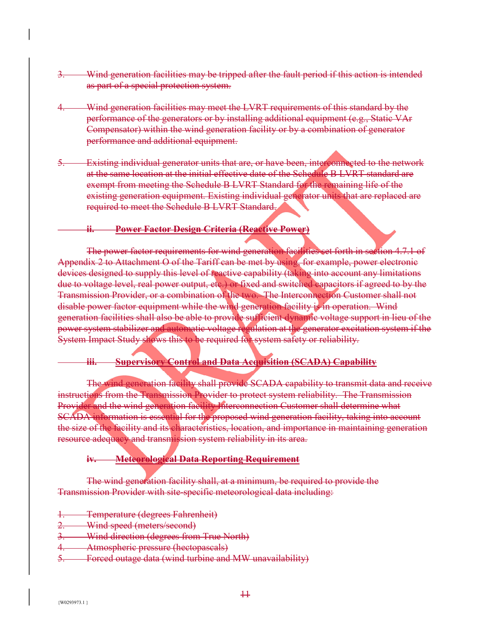- Wind generation facilities may be tripped after the fault period if this action is intended as part of a special protection system.
- 4. Wind generation facilities may meet the LVRT requirements of this standard by the performance of the generators or by installing additional equipment (e.g., Static VAr Compensator) within the wind generation facility or by a combination of generator performance and additional equipment.
- 5. Existing individual generator units that are, or have been, interconnected to the network at the same location at the initial effective date of the Schedule B LVRT standard are exempt from meeting the Schedule B LVRT Standard for the remaining life of the existing generation equipment. Existing individual generator units that are replaced are required to meet the Schedule B LVRT Standard.

### **ii. Power Factor Design Criteria (Reactive Power)**

The power factor requirements for wind generation facilities set forth in section 4.7.1 of Appendix 2 to Attachment O of the Tariff can be met by using, for example, power electronic devices designed to supply this level of reactive capability (taking into account any limitations due to voltage level, real power output, etc.) or fixed and switched capacitors if agreed to by the Transmission Provider, or a combination of the two. The Interconnection Customer shall not disable power factor equipment while the wind generation facility is in operation. Wind generation facilities shall also be able to provide sufficient dynamic voltage support in lieu of the power system stabilizer and automatic voltage regulation at the generator excitation system if the System Impact Study shows this to be required for system safety or reliability.

## **iii. Supervisory Control and Data Acquisition (SCADA) Capability**

The wind generation facility shall provide SCADA capability to transmit data and receive instructions from the Transmission Provider to protect system reliability. The Transmission Provider and the wind generation facility Interconnection Customer shall determine what SCADA information is essential for the proposed wind generation facility, taking into account the size of the facility and its characteristics, location, and importance in maintaining generation resource adequacy and transmission system reliability in its area.

## **iv. Meteorological Data Reporting Requirement**

The wind generation facility shall, at a minimum, be required to provide the Transmission Provider with site-specific meteorological data including:

- 1. Temperature (degrees Fahrenheit)
- 2. Wind speed (meters/second)
- 3. Wind direction (degrees from True North)
- Atmospheric pressure (hectopascals)
- 5. Forced outage data (wind turbine and MW unavailability)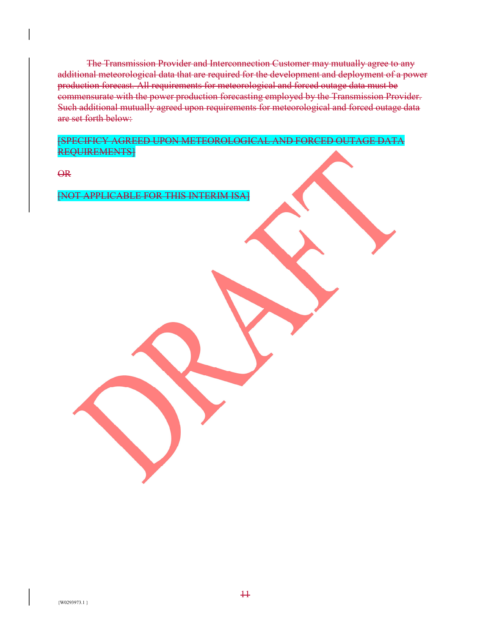The Transmission Provider and Interconnection Customer may mutually agree to any additional meteorological data that are required for the development and deployment of a power production forecast. All requirements for meteorological and forced outage data must be commensurate with the power production forecasting employed by the Transmission Provider. Such additional mutually agreed upon requirements for meteorological and forced outage data are set forth below:

[SPECIFICY AGREED UPON METEOROLOGICAL AND FORCED OUTAGE DATA REQUIREMENTS]

OR

[NOT APPLICABLE FOR THIS INTERIM ISA]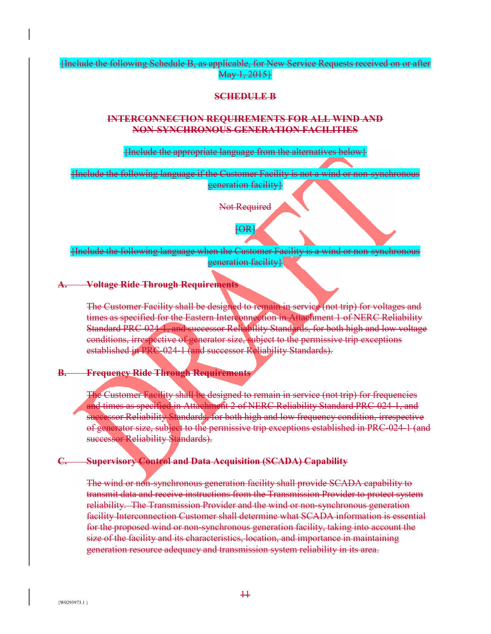{Include the following Schedule B, as applicable, for New Service Requests received on or after May 1, 2015}

### **SCHEDULE B**

### **INTERCONNECTION REQUIREMENTS FOR ALL WIND AND NON-SYNCHRONOUS GENERATION FACILITIES**

{Include the appropriate language from the alternatives below}

{Include the following language if the Customer Facility is not a wind or non-synchronous generation facility}

Not Required

 $\mathsf{fOR}$ 

{Include the following language when the Customer Facility is a wind or non-synchronous generation facility}

### **A. Voltage Ride Through Requirements**

The Customer Facility shall be designed to remain in service (not trip) for voltages and times as specified for the Eastern Interconnection in Attachment 1 of NERC Reliability Standard PRC-024-1, and successor Reliability Standards, for both high and low voltage conditions, irrespective of generator size, subject to the permissive trip exceptions established in PRC-024-1 (and successor Reliability Standards).

## **B. Frequency Ride Through Requirements**

The Customer Facility shall be designed to remain in service (not trip) for frequencies and times as specified in Attachment 2 of NERC Reliability Standard PRC-024-1, and successor Reliability Standards, for both high and low frequency condition, irrespective of generator size, subject to the permissive trip exceptions established in PRC-024-1 (and successor Reliability Standards).

## **C. Supervisory Control and Data Acquisition (SCADA) Capability**

The wind or non-synchronous generation facility shall provide SCADA capability to transmit data and receive instructions from the Transmission Provider to protect system reliability. The Transmission Provider and the wind or non-synchronous generation facility Interconnection Customer shall determine what SCADA information is essential for the proposed wind or non-synchronous generation facility, taking into account the size of the facility and its characteristics, location, and importance in maintaining generation resource adequacy and transmission system reliability in its area.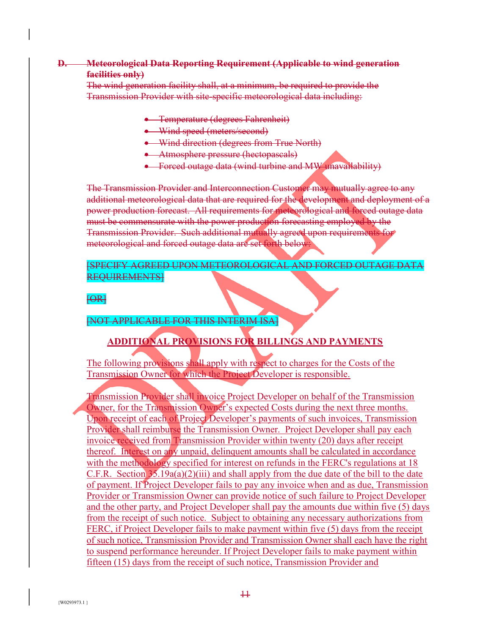## **D. Meteorological Data Reporting Requirement (Applicable to wind generation facilities only)**

The wind generation facility shall, at a minimum, be required to provide the Transmission Provider with site-specific meteorological data including:

- **•** Temperature (degrees Fahrenheit)
- Wind speed (meters/second)
- Wind direction (degrees from True North)
- Atmosphere pressure (hectopascals)
- **•** Forced outage data (wind turbine and MW unavailability)

The Transmission Provider and Interconnection Customer may mutually agree to any additional meteorological data that are required for the development and deployment of a power production forecast. All requirements for meteorological and forced outage data must be commensurate with the power production forecasting employed by the Transmission Provider. Such additional mutually agreed upon requirements for meteorological and forced outage data are set forth below:

[SPECIFY AGREED UPON METEOROLOGICAL AND FORCED OUTAGE DATA REQUIREMENTS]

## $FOR$

[NOT APPLICABLE FOR THIS INTERIM ISA]

# **ADDITIONAL PROVISIONS FOR BILLINGS AND PAYMENTS**

The following provisions shall apply with respect to charges for the Costs of the Transmission Owner for which the Project Developer is responsible.

Transmission Provider shall invoice Project Developer on behalf of the Transmission Owner, for the Transmission Owner's expected Costs during the next three months. Upon receipt of each of Project Developer's payments of such invoices, Transmission Provider shall reimburse the Transmission Owner. Project Developer shall pay each invoice received from Transmission Provider within twenty (20) days after receipt thereof. Interest on any unpaid, delinquent amounts shall be calculated in accordance with the methodology specified for interest on refunds in the FERC's regulations at 18 C.F.R. Section 35.19a(a)(2)(iii) and shall apply from the due date of the bill to the date of payment. If Project Developer fails to pay any invoice when and as due, Transmission Provider or Transmission Owner can provide notice of such failure to Project Developer and the other party, and Project Developer shall pay the amounts due within five (5) days from the receipt of such notice. Subject to obtaining any necessary authorizations from FERC, if Project Developer fails to make payment within five (5) days from the receipt of such notice, Transmission Provider and Transmission Owner shall each have the right to suspend performance hereunder. If Project Developer fails to make payment within fifteen (15) days from the receipt of such notice, Transmission Provider and